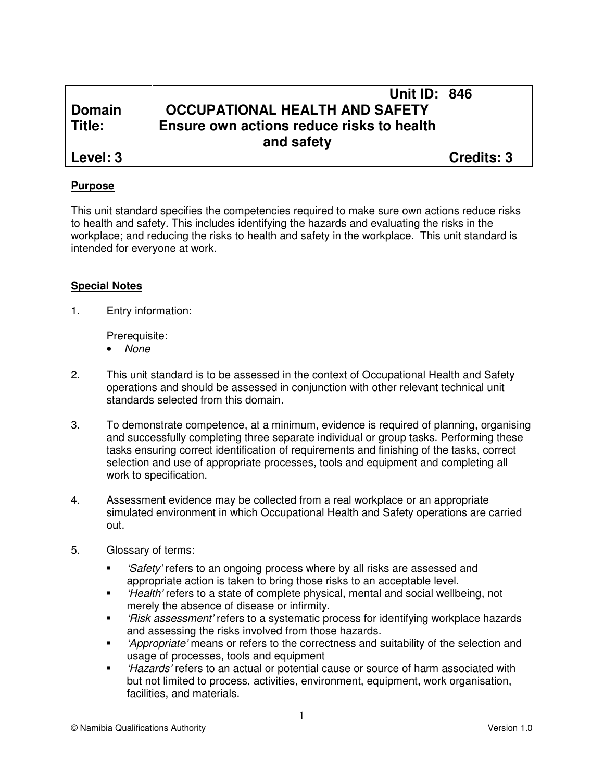# **Unit ID: 846 Domain OCCUPATIONAL HEALTH AND SAFETY Title: Ensure own actions reduce risks to health and safety**

**Level: 3 Credits: 3**

### **Purpose**

This unit standard specifies the competencies required to make sure own actions reduce risks to health and safety. This includes identifying the hazards and evaluating the risks in the workplace; and reducing the risks to health and safety in the workplace. This unit standard is intended for everyone at work.

#### **Special Notes**

1. Entry information:

Prerequisite:

- None
- 2. This unit standard is to be assessed in the context of Occupational Health and Safety operations and should be assessed in conjunction with other relevant technical unit standards selected from this domain.
- 3. To demonstrate competence, at a minimum, evidence is required of planning, organising and successfully completing three separate individual or group tasks. Performing these tasks ensuring correct identification of requirements and finishing of the tasks, correct selection and use of appropriate processes, tools and equipment and completing all work to specification.
- 4. Assessment evidence may be collected from a real workplace or an appropriate simulated environment in which Occupational Health and Safety operations are carried out.
- 5. Glossary of terms:
	- **Safety'** refers to an ongoing process where by all risks are assessed and appropriate action is taken to bring those risks to an acceptable level.
	- 'Health' refers to a state of complete physical, mental and social wellbeing, not merely the absence of disease or infirmity.
	- " 'Risk assessment' refers to a systematic process for identifying workplace hazards and assessing the risks involved from those hazards.
	- 'Appropriate' means or refers to the correctness and suitability of the selection and usage of processes, tools and equipment
	- " 'Hazards' refers to an actual or potential cause or source of harm associated with but not limited to process, activities, environment, equipment, work organisation, facilities, and materials.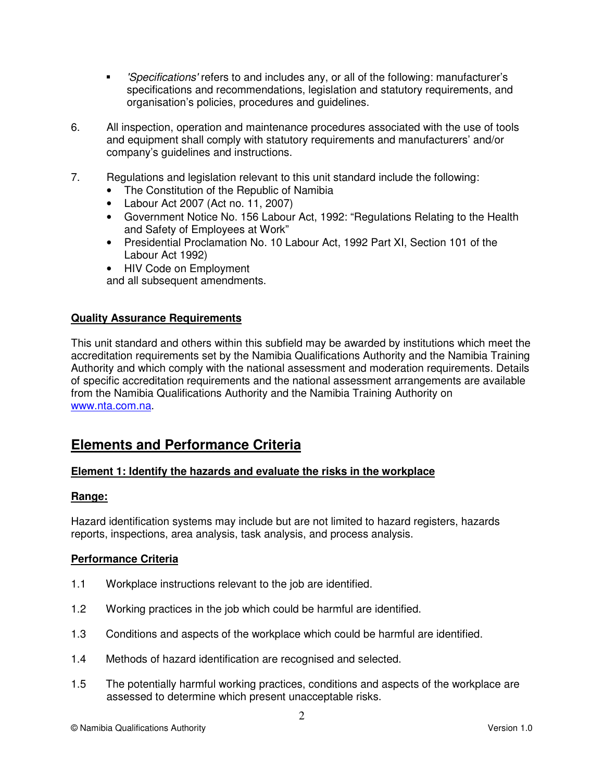- 'Specifications' refers to and includes any, or all of the following: manufacturer's specifications and recommendations, legislation and statutory requirements, and organisation's policies, procedures and guidelines.
- 6. All inspection, operation and maintenance procedures associated with the use of tools and equipment shall comply with statutory requirements and manufacturers' and/or company's guidelines and instructions.
- 7. Regulations and legislation relevant to this unit standard include the following:
	- The Constitution of the Republic of Namibia
	- Labour Act 2007 (Act no. 11, 2007)
	- Government Notice No. 156 Labour Act, 1992: "Regulations Relating to the Health and Safety of Employees at Work"
	- Presidential Proclamation No. 10 Labour Act, 1992 Part XI, Section 101 of the Labour Act 1992)
	- HIV Code on Employment and all subsequent amendments.

#### **Quality Assurance Requirements**

This unit standard and others within this subfield may be awarded by institutions which meet the accreditation requirements set by the Namibia Qualifications Authority and the Namibia Training Authority and which comply with the national assessment and moderation requirements. Details of specific accreditation requirements and the national assessment arrangements are available from the Namibia Qualifications Authority and the Namibia Training Authority on www.nta.com.na.

# **Elements and Performance Criteria**

#### **Element 1: Identify the hazards and evaluate the risks in the workplace**

#### **Range:**

Hazard identification systems may include but are not limited to hazard registers, hazards reports, inspections, area analysis, task analysis, and process analysis.

#### **Performance Criteria**

- 1.1 Workplace instructions relevant to the job are identified.
- 1.2 Working practices in the job which could be harmful are identified.
- 1.3 Conditions and aspects of the workplace which could be harmful are identified.
- 1.4 Methods of hazard identification are recognised and selected.
- 1.5 The potentially harmful working practices, conditions and aspects of the workplace are assessed to determine which present unacceptable risks.